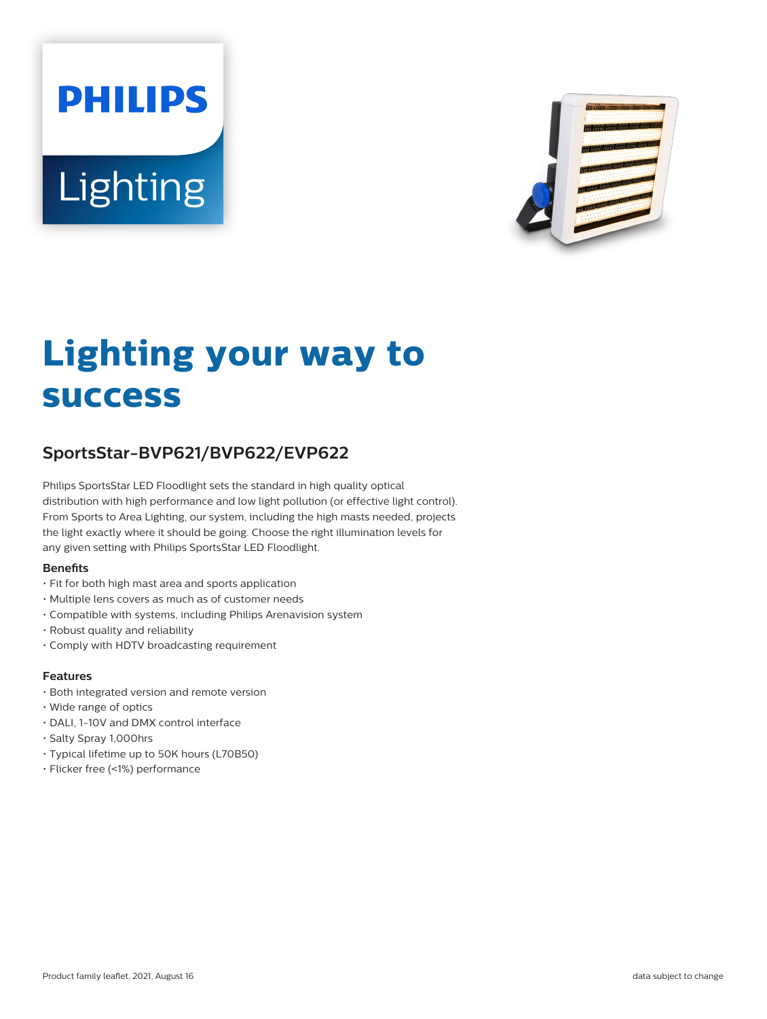# **PHILIPS** Lighting



# **Lighting your way to success**

# **SportsStar-BVP621/BVP622/EVP622**

Philips SportsStar LED Floodlight sets the standard in high quality optical distribution with high performance and low light pollution (or effective light control). From Sports to Area Lighting, our system, including the high masts needed, projects the light exactly where it should be going. Choose the right illumination levels for any given setting with Philips SportsStar LED Floodlight.

#### **Benefits**

- Fit for both high mast area and sports application
- Multiple lens covers as much as of customer needs
- Compatible with systems, including Philips Arenavision system
- Robust quality and reliability
- Comply with HDTV broadcasting requirement

#### **Features**

- Both integrated version and remote version
- Wide range of optics
- DALI, 1-10V and DMX control interface
- Salty Spray 1,000hrs
- Typical lifetime up to 50K hours (L70B50)
- Flicker free (<1%) performance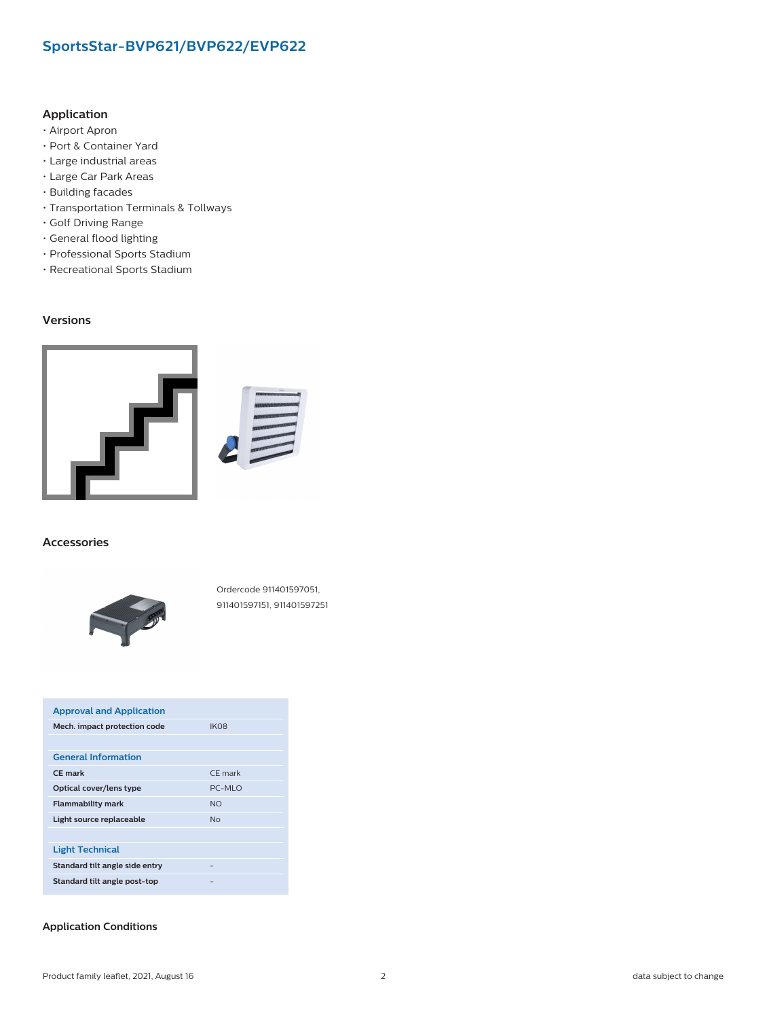#### **Application**

- Airport Apron
- Port & Container Yard
- Large industrial areas
- Large Car Park Areas
- Building facades
- Transportation Terminals & Tollways
- Golf Driving Range
- General flood lighting
- Professional Sports Stadium
- Recreational Sports Stadium

#### **Versions**



#### **Accessories**



Ordercode 911401597051, 911401597151, 911401597251

| <b>Approval and Application</b>                        |                  |  |  |  |
|--------------------------------------------------------|------------------|--|--|--|
| Mech. impact protection code<br><b>IKO<sub>8</sub></b> |                  |  |  |  |
|                                                        |                  |  |  |  |
| <b>General Information</b>                             |                  |  |  |  |
| CF mark                                                | CF mark          |  |  |  |
| Optical cover/lens type                                | $PC-MI$ $\Omega$ |  |  |  |
| <b>Flammability mark</b>                               | <b>NO</b>        |  |  |  |
| Light source replaceable                               | N <sub>0</sub>   |  |  |  |
|                                                        |                  |  |  |  |
| <b>Light Technical</b>                                 |                  |  |  |  |
| Standard tilt angle side entry                         |                  |  |  |  |
| Standard tilt angle post-top                           |                  |  |  |  |

#### **Application Conditions**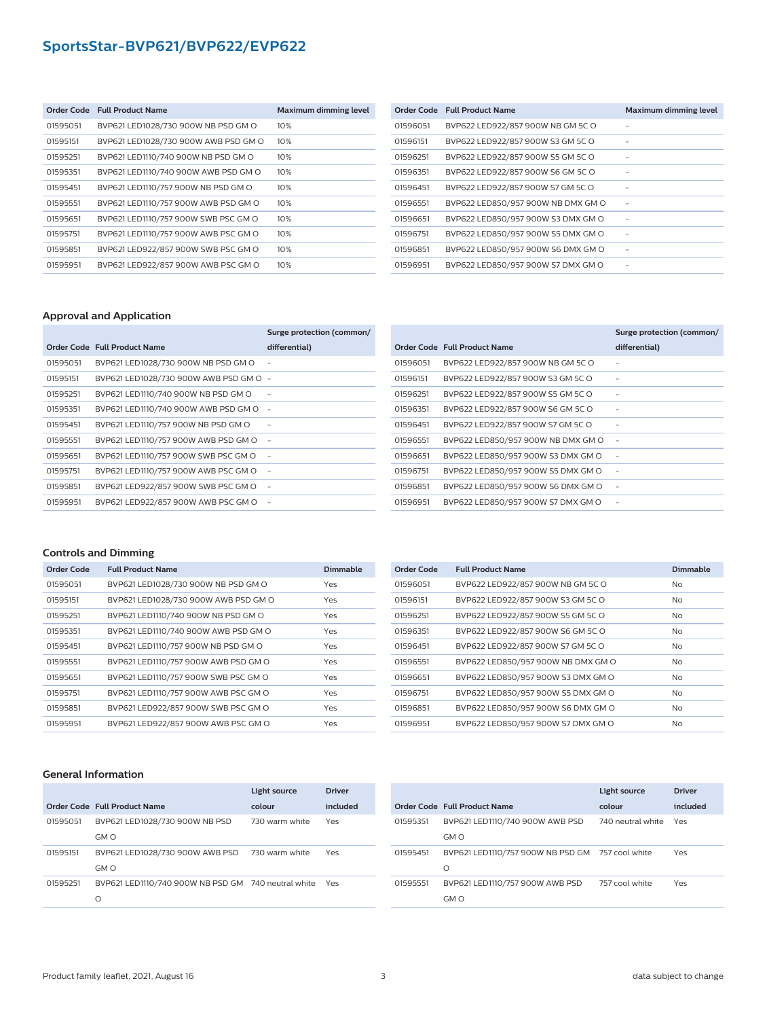|          | Order Code Full Product Name         | <b>Maximum dimming level</b> |
|----------|--------------------------------------|------------------------------|
| 01595051 | BVP621 LED1028/730 900W NB PSD GM O  | 10%                          |
| 01595151 | BVP621 LED1028/730 900W AWB PSD GM O | 10%                          |
| 01595251 | BVP621 LED1110/740 900W NB PSD GM O  | 10%                          |
| 01595351 | BVP621 LED1110/740 900W AWB PSD GM O | 10%                          |
| 01595451 | BVP621 LED1110/757 900W NB PSD GM O  | 10%                          |
| 01595551 | BVP621 LED1110/757 900W AWB PSD GM O | 10%                          |
| 01595651 | BVP621 LED1110/757 900W SWB PSC GM O | 10%                          |
| 01595751 | BVP621 LED1110/757 900W AWB PSC GM O | 10%                          |
| 01595851 | BVP621 LED922/857 900W SWB PSC GM O  | 10%                          |
| 01595951 | BVP621 LED922/857 900W AWB PSC GM O  | 10%                          |

|          | Order Code Full Product Name       | <b>Maximum dimming level</b> |
|----------|------------------------------------|------------------------------|
| 01596051 | BVP622 LED922/857 900W NB GM 5C O  |                              |
| 01596151 | BVP622 LED922/857 900W S3 GM 5C O  |                              |
| 01596251 | BVP622 LED922/857 900W S5 GM 5C O  |                              |
| 01596351 | BVP622 LED922/857 900W S6 GM 5C O  |                              |
| 01596451 | BVP622 LED922/857 900W S7 GM 5C O  |                              |
| 01596551 | BVP622 LED850/957 900W NB DMX GM O |                              |
| 01596651 | BVP622 LED850/957 900W S3 DMX GM O |                              |
| 01596751 | BVP622 LED850/957 900W S5 DMX GM O |                              |
| 01596851 | BVP622 LED850/957 900W S6 DMX GM O |                              |
| 01596951 | BVP622 LED850/957 900W S7 DMX GM O |                              |

#### **Approval and Application**

|          |                                        | Surge protection (common/ |
|----------|----------------------------------------|---------------------------|
|          | Order Code Full Product Name           | differential)             |
| 01595051 | BVP621 LED1028/730 900W NB PSD GM O    |                           |
| 01595151 | BVP621 LED1028/730 900W AWB PSD GM O - |                           |
| 01595251 | BVP621 LED1110/740 900W NB PSD GM O    |                           |
| 01595351 | BVP621 LED1110/740 900W AWB PSD GM O   |                           |
| 01595451 | BVP621 LED1110/757 900W NB PSD GM O    |                           |
| 01595551 | BVP621 LED1110/757 900W AWB PSD GM O   |                           |
| 01595651 | BVP621 LED1110/757 900W SWB PSC GM O   |                           |
| 01595751 | BVP621 LED1110/757 900W AWB PSC GM O   | $\overline{\phantom{a}}$  |
| 01595851 | BVP621 LED922/857 900W SWB PSC GM O    | ٠                         |
| 01595951 | BVP621 LED922/857 900W AWB PSC GM O    |                           |

|          |                                    | Surge protection (common/ |
|----------|------------------------------------|---------------------------|
|          | Order Code Full Product Name       | differential)             |
| 01596051 | BVP622 LED922/857 900W NB GM 5C O  |                           |
| 01596151 | BVP622 LED922/857 900W S3 GM 5C O  |                           |
| 01596251 | BVP622 LED922/857 900W S5 GM 5C O  |                           |
| 01596351 | BVP622 LED922/857 900W S6 GM 5C O  |                           |
| 01596451 | BVP622 LED922/857 900W S7 GM 5C O  |                           |
| 01596551 | BVP622 LED850/957 900W NB DMX GM O |                           |
| 01596651 | BVP622 LED850/957 900W S3 DMX GM O |                           |
| 01596751 | BVP622 LED850/957 900W S5 DMX GM O |                           |
| 01596851 | BVP622 LED850/957 900W S6 DMX GM O |                           |
| 01596951 | BVP622 LED850/957 900W S7 DMX GM O |                           |

#### **Controls and Dimming**

| Order Code | <b>Full Product Name</b>             | <b>Dimmable</b> |
|------------|--------------------------------------|-----------------|
| 01595051   | BVP621 LED1028/730 900W NB PSD GM O  | Yes             |
| 01595151   | BVP621 LED1028/730 900W AWB PSD GM O | Yes             |
| 01595251   | BVP621 LED1110/740 900W NB PSD GM O  | Yes             |
| 01595351   | BVP621 LED1110/740 900W AWB PSD GM O | Yes             |
| 01595451   | BVP621 LED1110/757 900W NB PSD GM O  | Yes             |
| 01595551   | BVP621 LED1110/757 900W AWB PSD GM O | Yes             |
| 01595651   | BVP621 LED1110/757 900W SWB PSC GM O | Yes             |
| 01595751   | BVP621 LED1110/757 900W AWB PSC GM O | Yes             |
| 01595851   | BVP621 LED922/857 900W SWB PSC GM O  | Yes             |
| 01595951   | BVP621 LED922/857 900W AWB PSC GM O  | Yes             |

| <b>Order Code</b> | <b>Full Product Name</b>           | <b>Dimmable</b> |
|-------------------|------------------------------------|-----------------|
| 01596051          | BVP622 LED922/857 900W NB GM 5C O  | N <sub>o</sub>  |
| 01596151          | BVP622 LED922/857 900W S3 GM 5C O  | N <sub>o</sub>  |
| 01596251          | BVP622 LED922/857 900W S5 GM 5C O  | N <sub>o</sub>  |
| 01596351          | BVP622 LED922/857 900W S6 GM 5C O  | N <sub>o</sub>  |
| 01596451          | BVP622 LED922/857 900W S7 GM 5C O  | N <sub>o</sub>  |
| 01596551          | BVP622 LED850/957 900W NB DMX GM O | N <sub>o</sub>  |
| 01596651          | BVP622 LED850/957 900W S3 DMX GM O | N <sub>o</sub>  |
| 01596751          | BVP622 LED850/957 900W S5 DMX GM O | N <sub>o</sub>  |
| 01596851          | BVP622 LED850/957 900W S6 DMX GM O | N <sub>o</sub>  |
| 01596951          | BVP622 LED850/957 900W S7 DMX GM O | N <sub>o</sub>  |

#### **General Information**

|          |                                                     | Light source   | Driver   |
|----------|-----------------------------------------------------|----------------|----------|
|          | Order Code Full Product Name                        | colour         | included |
| 01595051 | BVP621 LED1028/730 900W NB PSD                      | 730 warm white | Yes      |
|          | GM O                                                |                |          |
| 01595151 | BVP621 LED1028/730 900W AWB PSD                     | 730 warm white | Yes      |
|          | GM O                                                |                |          |
| 01595251 | BVP621 LED1110/740 900W NB PSD GM 740 neutral white |                | Yes      |
|          | Ω                                                   |                |          |

|          |                                                  | Light source      | <b>Driver</b> |
|----------|--------------------------------------------------|-------------------|---------------|
|          | Order Code Full Product Name                     | colour            | included      |
| 01595351 | BVP621 LED1110/740 900W AWB PSD                  | 740 neutral white | Yes           |
|          | GM O                                             |                   |               |
| 01595451 | BVP621 LED1110/757 900W NB PSD GM 757 cool white |                   | Yes           |
|          | $\Omega$                                         |                   |               |
| 01595551 | BVP621 LED1110/757 900W AWB PSD                  | 757 cool white    | Yes           |
|          | GM O                                             |                   |               |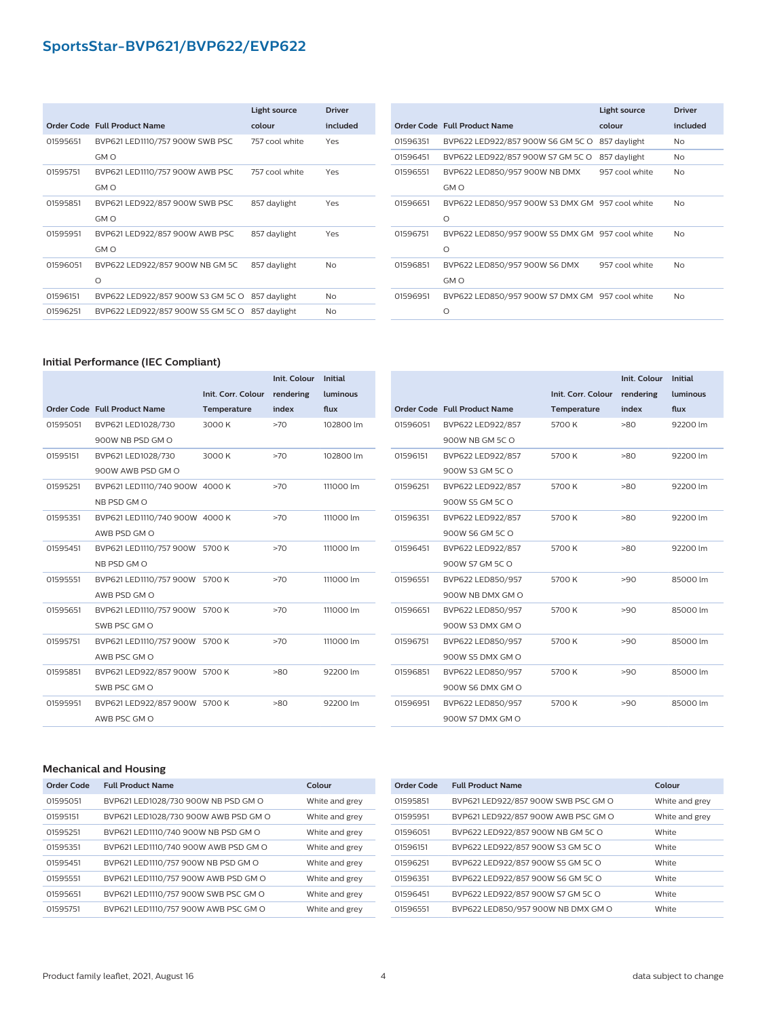|          |                                                | Light source   | <b>Driver</b> |
|----------|------------------------------------------------|----------------|---------------|
|          | Order Code Full Product Name                   | colour         | included      |
| 01595651 | BVP621 LED1110/757 900W SWB PSC                | 757 cool white | Yes           |
|          | GM O                                           |                |               |
| 01595751 | BVP621 LED1110/757 900W AWB PSC                | 757 cool white | Yes           |
|          | GM O                                           |                |               |
| 01595851 | BVP621 LED922/857 900W SWB PSC                 | 857 daylight   | Yes           |
|          | GM O                                           |                |               |
| 01595951 | BVP621 LED922/857 900W AWB PSC                 | 857 daylight   | Yes           |
|          | GM O                                           |                |               |
| 01596051 | BVP622 LED922/857 900W NB GM 5C                | 857 daylight   | No            |
|          | $\Omega$                                       |                |               |
| 01596151 | BVP622 LED922/857 900W S3 GM 5C O              | 857 daylight   | <b>No</b>     |
| 01596251 | BVP622 LED922/857 900W S5 GM 5C O 857 daylight |                | No            |

|          |                                                             | Light source   | <b>Driver</b>  |
|----------|-------------------------------------------------------------|----------------|----------------|
|          | Order Code Full Product Name                                | colour         | included       |
| 01596351 | BVP622 LED922/857 900W S6 GM 5C O                           | 857 daylight   | No             |
| 01596451 | BVP622 LED922/857 900W S7 GM 5C O                           | 857 daylight   | <b>No</b>      |
| 01596551 | BVP622 LED850/957 900W NB DMX<br>GM O                       | 957 cool white | N <sub>o</sub> |
| 01596651 | BVP622 LED850/957 900W S3 DMX GM 957 cool white<br>$\Omega$ |                | N <sub>o</sub> |
| 01596751 | BVP622 LED850/957 900W S5 DMX GM 957 cool white<br>$\Omega$ |                | N <sub>o</sub> |
| 01596851 | BVP622 LED850/957 900W S6 DMX<br>GM O                       | 957 cool white | <b>No</b>      |
| 01596951 | BVP622 LED850/957 900W S7 DMX GM 957 cool white<br>$\Omega$ |                | N <sub>o</sub> |

#### **Initial Performance (IEC Compliant)**

|          |                                |                    | Init. Colour | Initial   |
|----------|--------------------------------|--------------------|--------------|-----------|
|          |                                | Init. Corr. Colour | rendering    | luminous  |
|          | Order Code Full Product Name   | Temperature        | index        | flux      |
| 01595051 | BVP621 LED1028/730             | 3000 K             | >70          | 102800 lm |
|          | 900W NB PSD GM O               |                    |              |           |
| 01595151 | BVP621 LED1028/730             | 3000 K             | >70          | 102800 lm |
|          | 900W AWB PSD GM O              |                    |              |           |
| 01595251 | BVP621 LED1110/740 900W 4000 K |                    | >70          | 111000 lm |
|          | NB PSD GM O                    |                    |              |           |
| 01595351 | BVP621 LED1110/740 900W 4000 K |                    | >70          | 111000 lm |
|          | AWB PSD GM O                   |                    |              |           |
| 01595451 | BVP621 LED1110/757 900W 5700 K |                    | >70          | 111000 lm |
|          | NB PSD GM O                    |                    |              |           |
| 01595551 | BVP621 LED1110/757 900W 5700 K |                    | >70          | 111000 lm |
|          | AWB PSD GM O                   |                    |              |           |
| 01595651 | BVP621 LED1110/757 900W 5700 K |                    | >70          | 111000 lm |
|          | SWB PSC GM O                   |                    |              |           |
| 01595751 | BVP621 LED1110/757 900W 5700 K |                    | >70          | 111000 lm |
|          | AWB PSC GM O                   |                    |              |           |
| 01595851 | BVP621 LED922/857 900W 5700 K  |                    | >80          | 92200 lm  |
|          | SWB PSC GM O                   |                    |              |           |
| 01595951 | BVP621 LED922/857 900W 5700 K  |                    | >80          | 92200 lm  |
|          | AWB PSC GM O                   |                    |              |           |
|          |                                |                    |              |           |

|          |                                     |                    | <b>Init. Colour</b><br><b>Initial</b> |          |
|----------|-------------------------------------|--------------------|---------------------------------------|----------|
|          |                                     | Init. Corr. Colour | rendering                             | luminous |
|          | <b>Order Code Full Product Name</b> | Temperature        | index                                 | flux     |
| 01596051 | BVP622 LED922/857                   | 5700 K             | $-80$                                 | 92200 lm |
|          | 900W NB GM 5C O                     |                    |                                       |          |
| 01596151 | BVP622 LED922/857                   | 5700K              | $-80$                                 | 92200 lm |
|          | 900W S3 GM 5C O                     |                    |                                       |          |
| 01596251 | BVP622 LED922/857                   | 5700K              | $-80$                                 | 92200 lm |
|          | 900W S5 GM 5C O                     |                    |                                       |          |
| 01596351 | BVP622 LED922/857                   | 5700K              | $-80$                                 | 92200 lm |
|          | 900W S6 GM 5C O                     |                    |                                       |          |
| 01596451 | BVP622 LED922/857                   | 5700 K             | $-80$                                 | 92200 lm |
|          | 900W S7 GM 5C O                     |                    |                                       |          |
| 01596551 | BVP622 LED850/957                   | 5700K              | >90                                   | 85000 lm |
|          | 900W NB DMX GM O                    |                    |                                       |          |
| 01596651 | BVP622 LED850/957                   | 5700K              | >90                                   | 85000 lm |
|          | 900W S3 DMX GM O                    |                    |                                       |          |
| 01596751 | BVP622 LED850/957                   | 5700K              | >90                                   | 85000 lm |
|          | 900W S5 DMX GM O                    |                    |                                       |          |
| 01596851 | BVP622 LED850/957                   | 5700K              | >90                                   | 85000 lm |
|          | 900W S6 DMX GM O                    |                    |                                       |          |
| 01596951 | BVP622 LED850/957                   | 5700 K             | >90                                   | 85000 lm |
|          | 900W S7 DMX GM O                    |                    |                                       |          |
|          |                                     |                    |                                       |          |

#### **Mechanical and Housing**

| Order Code | <b>Full Product Name</b>             | Colour         |
|------------|--------------------------------------|----------------|
| 01595051   | BVP621 LED1028/730 900W NB PSD GM O  | White and grey |
| 01595151   | BVP621 LED1028/730 900W AWB PSD GM O | White and grey |
| 01595251   | BVP621 LED1110/740 900W NB PSD GM O  | White and grev |
| 01595351   | BVP621 LED1110/740 900W AWB PSD GM O | White and grey |
| 01595451   | BVP621 LED1110/757 900W NB PSD GM O  | White and grey |
| 01595551   | BVP621 LED1110/757 900W AWB PSD GM O | White and grey |
| 01595651   | BVP621 LED1110/757 900W SWB PSC GM O | White and grey |
| 01595751   | BVP621 LED1110/757 900W AWB PSC GM O | White and grev |

| <b>Order Code</b> | <b>Full Product Name</b>            | Colour         |
|-------------------|-------------------------------------|----------------|
| 01595851          | BVP621 LED922/857 900W SWB PSC GM O | White and grey |
| 01595951          | BVP621 LED922/857 900W AWB PSC GM O | White and grev |
| 01596051          | BVP622 LED922/857 900W NB GM 5C O   | White          |
| 01596151          | BVP622 LED922/857 900W S3 GM 5C O   | White          |
| 01596251          | BVP622 LED922/857 900W S5 GM 5C O   | White          |
| 01596351          | BVP622 LED922/857 900W S6 GM 5C O   | White          |
| 01596451          | BVP622 LED922/857 900W S7 GM 5C O   | White          |
| 01596551          | BVP622 LED850/957 900W NB DMX GM O  | White          |